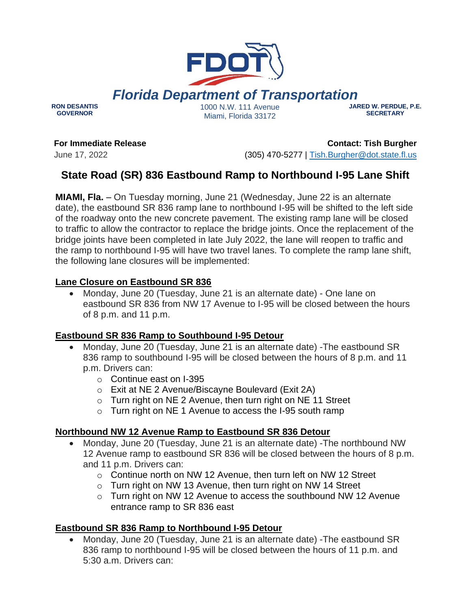

*Florida Department of Transportation*

**RON DESANTIS GOVERNOR**

1000 N.W. 111 Avenue Miami, Florida 33172

#### **JARED W. PERDUE, P.E. SECRETARY**

**For Immediate Release**

June 17, 2022

**Contact: Tish Burgher** (305) 470-5277 | [Tish.Burgher@dot.state.fl.us](mailto:Tish.Burgher@dot.state.fl.us)

# **State Road (SR) 836 Eastbound Ramp to Northbound I-95 Lane Shift**

**MIAMI, Fla.** – On Tuesday morning, June 21 (Wednesday, June 22 is an alternate date), the eastbound SR 836 ramp lane to northbound I-95 will be shifted to the left side of the roadway onto the new concrete pavement. The existing ramp lane will be closed to traffic to allow the contractor to replace the bridge joints. Once the replacement of the bridge joints have been completed in late July 2022, the lane will reopen to traffic and the ramp to northbound I-95 will have two travel lanes. To complete the ramp lane shift, the following lane closures will be implemented:

## **Lane Closure on Eastbound SR 836**

• Monday, June 20 (Tuesday, June 21 is an alternate date) - One lane on eastbound SR 836 from NW 17 Avenue to I-95 will be closed between the hours of 8 p.m. and 11 p.m.

## **Eastbound SR 836 Ramp to Southbound I-95 Detour**

- Monday, June 20 (Tuesday, June 21 is an alternate date) -The eastbound SR 836 ramp to southbound I-95 will be closed between the hours of 8 p.m. and 11 p.m. Drivers can:
	- o Continue east on I-395
	- o Exit at NE 2 Avenue/Biscayne Boulevard (Exit 2A)
	- $\circ$  Turn right on NE 2 Avenue, then turn right on NE 11 Street
	- o Turn right on NE 1 Avenue to access the I-95 south ramp

## **Northbound NW 12 Avenue Ramp to Eastbound SR 836 Detour**

- Monday, June 20 (Tuesday, June 21 is an alternate date) -The northbound NW 12 Avenue ramp to eastbound SR 836 will be closed between the hours of 8 p.m. and 11 p.m. Drivers can:
	- o Continue north on NW 12 Avenue, then turn left on NW 12 Street
	- o Turn right on NW 13 Avenue, then turn right on NW 14 Street
	- o Turn right on NW 12 Avenue to access the southbound NW 12 Avenue entrance ramp to SR 836 east

## **Eastbound SR 836 Ramp to Northbound I-95 Detour**

• Monday, June 20 (Tuesday, June 21 is an alternate date) -The eastbound SR 836 ramp to northbound I-95 will be closed between the hours of 11 p.m. and 5:30 a.m. Drivers can: